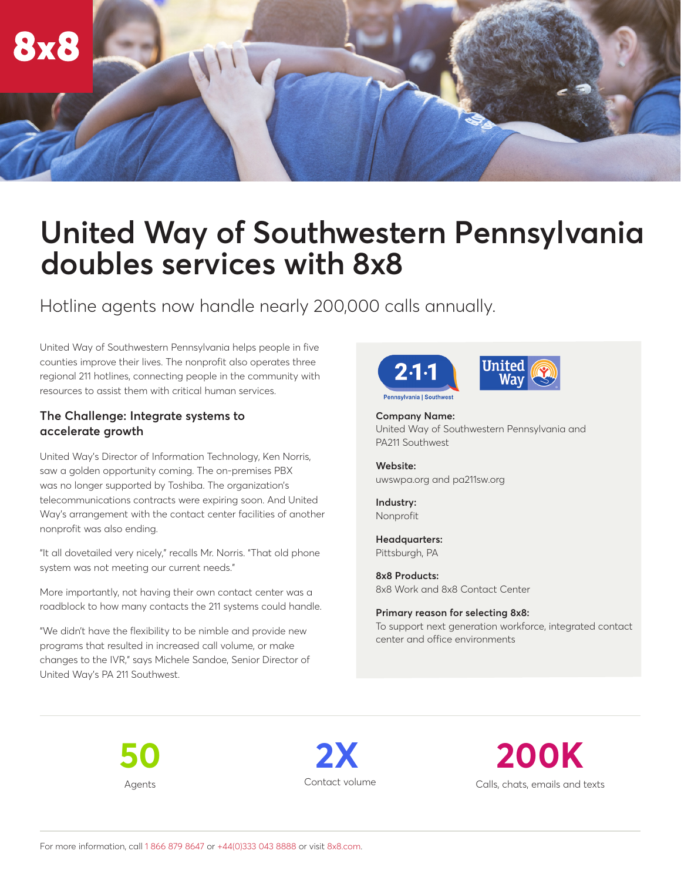

# **United Way of Southwestern Pennsylvania doubles services with 8x8**

Hotline agents now handle nearly 200,000 calls annually.

United Way of Southwestern Pennsylvania helps people in five counties improve their lives. The nonprofit also operates three regional 211 hotlines, connecting people in the community with resources to assist them with critical human services.

#### **The Challenge: Integrate systems to accelerate growth**

United Way's Director of Information Technology, Ken Norris, saw a golden opportunity coming. The on-premises PBX was no longer supported by Toshiba. The organization's telecommunications contracts were expiring soon. And United Way's arrangement with the contact center facilities of another nonprofit was also ending.

"It all dovetailed very nicely," recalls Mr. Norris. "That old phone system was not meeting our current needs."

More importantly, not having their own contact center was a roadblock to how many contacts the 211 systems could handle.

"We didn't have the flexibility to be nimble and provide new programs that resulted in increased call volume, or make changes to the IVR," says Michele Sandoe, Senior Director of United Way's PA 211 Southwest.



United

**Company Name:** United Way of Southwestern Pennsylvania and PA211 Southwest

**Website:** [uwswpa.org](http://www.uwswpa.org) and [pa211sw.org](http://www.pa211sw.org)

**Industry:**  Nonprofit

**Headquarters:** Pittsburgh, PA

**8x8 Products:**  8x8 Work and 8x8 Contact Center

**Primary reason for selecting 8x8:**  To support next generation workforce, integrated contact center and office environments

**50** Agents

**2X** Contact volume